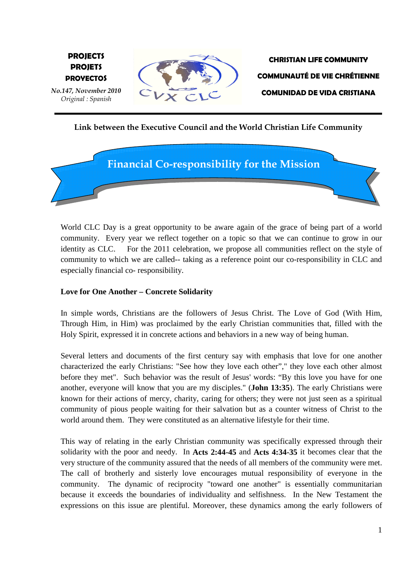

# **Link between the Executive Council and the World Christian Life Community**



World CLC Day is a great opportunity to be aware again of the grace of being part of a world community. Every year we reflect together on a topic so that we can continue to grow in our identity as CLC. For the 2011 celebration, we propose all communities reflect on the style of community to which we are called-- taking as a reference point our co-responsibility in CLC and especially financial co- responsibility.

#### **Love for One Another – Concrete Solidarity**

In simple words, Christians are the followers of Jesus Christ. The Love of God (With Him, Through Him, in Him) was proclaimed by the early Christian communities that, filled with the Holy Spirit, expressed it in concrete actions and behaviors in a new way of being human.

Several letters and documents of the first century say with emphasis that love for one another characterized the early Christians: "See how they love each other"," they love each other almost before they met". Such behavior was the result of Jesus' words: "By this love you have for one another, everyone will know that you are my disciples." (**John 13:35**). The early Christians were known for their actions of mercy, charity, caring for others; they were not just seen as a spiritual community of pious people waiting for their salvation but as a counter witness of Christ to the world around them. They were constituted as an alternative lifestyle for their time.

This way of relating in the early Christian community was specifically expressed through their solidarity with the poor and needy. In **Acts 2:44-45** and **Acts 4:34-35** it becomes clear that the very structure of the community assured that the needs of all members of the community were met. The call of brotherly and sisterly love encourages mutual responsibility of everyone in the community. The dynamic of reciprocity "toward one another" is essentially communitarian because it exceeds the boundaries of individuality and selfishness. In the New Testament the expressions on this issue are plentiful. Moreover, these dynamics among the early followers of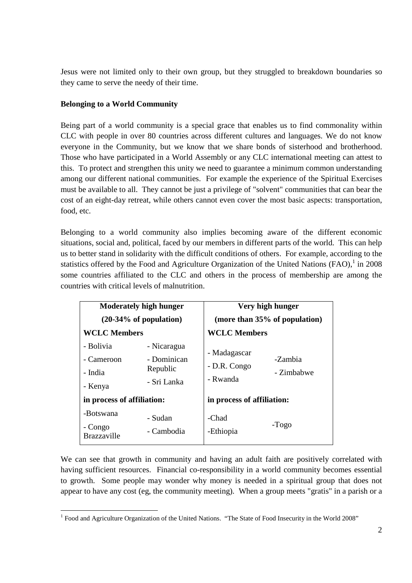Jesus were not limited only to their own group, but they struggled to breakdown boundaries so they came to serve the needy of their time.

#### **Belonging to a World Community**

-

Being part of a world community is a special grace that enables us to find commonality within CLC with people in over 80 countries across different cultures and languages. We do not know everyone in the Community, but we know that we share bonds of sisterhood and brotherhood. Those who have participated in a World Assembly or any CLC international meeting can attest to this. To protect and strengthen this unity we need to guarantee a minimum common understanding among our different national communities. For example the experience of the Spiritual Exercises must be available to all. They cannot be just a privilege of "solvent" communities that can bear the cost of an eight-day retreat, while others cannot even cover the most basic aspects: transportation, food, etc.

Belonging to a world community also implies becoming aware of the different economic situations, social and, political, faced by our members in different parts of the world. This can help us to better stand in solidarity with the difficult conditions of others. For example, according to the statistics offered by the Food and Agriculture Organization of the United Nations (FAO), $1$  in 2008 some countries affiliated to the CLC and others in the process of membership are among the countries with critical levels of malnutrition.

| <b>Moderately high hunger</b>     |             | Very high hunger                         |                       |
|-----------------------------------|-------------|------------------------------------------|-----------------------|
| $(20-34\% \text{ of population})$ |             | (more than 35% of population)            |                       |
| <b>WCLC Members</b>               |             | <b>WCLC Members</b>                      |                       |
| - Bolivia                         | - Nicaragua | - Madagascar<br>- D.R. Congo<br>- Rwanda |                       |
| - Cameroon                        | - Dominican |                                          | -Zambia<br>- Zimbabwe |
| - India                           | Republic    |                                          |                       |
| - Kenya                           | - Sri Lanka |                                          |                       |
| in process of affiliation:        |             | in process of affiliation:               |                       |
| -Botswana                         | - Sudan     | -Chad                                    |                       |
| - Congo                           | - Cambodia  | -Ethiopia                                | -Togo                 |
| <b>Brazzaville</b>                |             |                                          |                       |

We can see that growth in community and having an adult faith are positively correlated with having sufficient resources. Financial co-responsibility in a world community becomes essential to growth. Some people may wonder why money is needed in a spiritual group that does not appear to have any cost (eg, the community meeting). When a group meets "gratis" in a parish or a

<sup>&</sup>lt;sup>1</sup> Food and Agriculture Organization of the United Nations. "The State of Food Insecurity in the World 2008"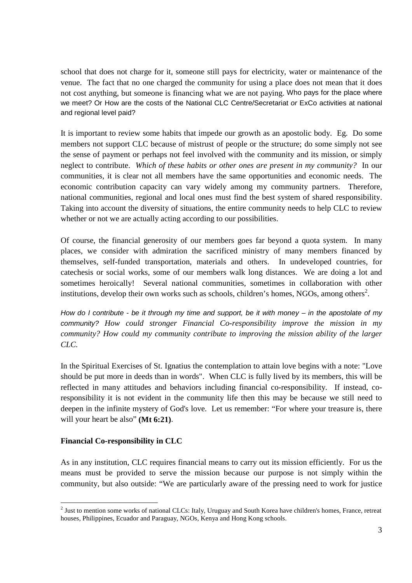school that does not charge for it, someone still pays for electricity, water or maintenance of the venue. The fact that no one charged the community for using a place does not mean that it does not cost anything, but someone is financing what we are not paying. Who pays for the place where we meet? Or How are the costs of the National CLC Centre/Secretariat or ExCo activities at national and regional level paid?

It is important to review some habits that impede our growth as an apostolic body. Eg. Do some members not support CLC because of mistrust of people or the structure; do some simply not see the sense of payment or perhaps not feel involved with the community and its mission, or simply neglect to contribute. *Which of these habits or other ones are present in my community?* In our communities, it is clear not all members have the same opportunities and economic needs. The economic contribution capacity can vary widely among my community partners. Therefore, national communities, regional and local ones must find the best system of shared responsibility. Taking into account the diversity of situations, the entire community needs to help CLC to review whether or not we are actually acting according to our possibilities.

Of course, the financial generosity of our members goes far beyond a quota system. In many places, we consider with admiration the sacrificed ministry of many members financed by themselves, self-funded transportation, materials and others. In undeveloped countries, for catechesis or social works, some of our members walk long distances. We are doing a lot and sometimes heroically! Several national communities, sometimes in collaboration with other institutions, develop their own works such as schools, children's homes, NGOs, among others<sup>2</sup>.

How do I contribute - be it through my time and support, be it with money – in the apostolate of my community? *How could stronger Financial Co-responsibility improve the mission in my community? How could my community contribute to improving the mission ability of the larger CLC.* 

In the Spiritual Exercises of St. Ignatius the contemplation to attain love begins with a note: "Love should be put more in deeds than in words". When CLC is fully lived by its members, this will be reflected in many attitudes and behaviors including financial co-responsibility. If instead, coresponsibility it is not evident in the community life then this may be because we still need to deepen in the infinite mystery of God's love. Let us remember: "For where your treasure is, there will your heart be also" **(Mt 6:21)**.

## **Financial Co-responsibility in CLC**

As in any institution, CLC requires financial means to carry out its mission efficiently. For us the means must be provided to serve the mission because our purpose is not simply within the community, but also outside: "We are particularly aware of the pressing need to work for justice

<sup>&</sup>lt;sup>2</sup><br><sup>2</sup> Just to mention some works of national CLCs: Italy, Uruguay and South Korea have children's homes, France, retreat houses, Philippines, Ecuador and Paraguay, NGOs, Kenya and Hong Kong schools.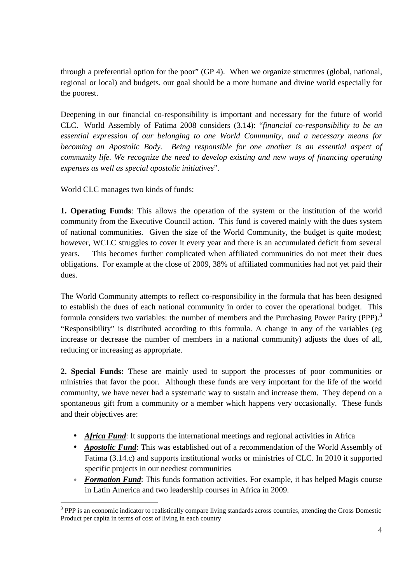through a preferential option for the poor" (GP 4). When we organize structures (global, national, regional or local) and budgets, our goal should be a more humane and divine world especially for the poorest.

Deepening in our financial co-responsibility is important and necessary for the future of world CLC. World Assembly of Fatima 2008 considers (3.14): "*financial co-responsibility to be an essential expression of our belonging to one World Community, and a necessary means for becoming an Apostolic Body. Being responsible for one another is an essential aspect of community life. We recognize the need to develop existing and new ways of financing operating expenses as well as special apostolic initiatives*".

World CLC manages two kinds of funds:

**1. Operating Funds**: This allows the operation of the system or the institution of the world community from the Executive Council action. This fund is covered mainly with the dues system of national communities. Given the size of the World Community, the budget is quite modest; however, WCLC struggles to cover it every year and there is an accumulated deficit from several years. This becomes further complicated when affiliated communities do not meet their dues obligations. For example at the close of 2009, 38% of affiliated communities had not yet paid their dues.

The World Community attempts to reflect co-responsibility in the formula that has been designed to establish the dues of each national community in order to cover the operational budget. This formula considers two variables: the number of members and the Purchasing Power Parity (PPP).<sup>3</sup> "Responsibility" is distributed according to this formula. A change in any of the variables (eg increase or decrease the number of members in a national community) adjusts the dues of all, reducing or increasing as appropriate.

**2. Special Funds:** These are mainly used to support the processes of poor communities or ministries that favor the poor. Although these funds are very important for the life of the world community, we have never had a systematic way to sustain and increase them. They depend on a spontaneous gift from a community or a member which happens very occasionally. These funds and their objectives are:

- *Africa Fund*: It supports the international meetings and regional activities in Africa
- *Apostolic Fund*: This was established out of a recommendation of the World Assembly of Fatima (3.14.c) and supports institutional works or ministries of CLC. In 2010 it supported specific projects in our neediest communities
- **Formation Fund:** This funds formation activities. For example, it has helped Magis course in Latin America and two leadership courses in Africa in 2009.

<sup>&</sup>lt;u>.</u> <sup>3</sup> PPP is an economic indicator to realistically compare living standards across countries, attending the Gross Domestic Product per capita in terms of cost of living in each country